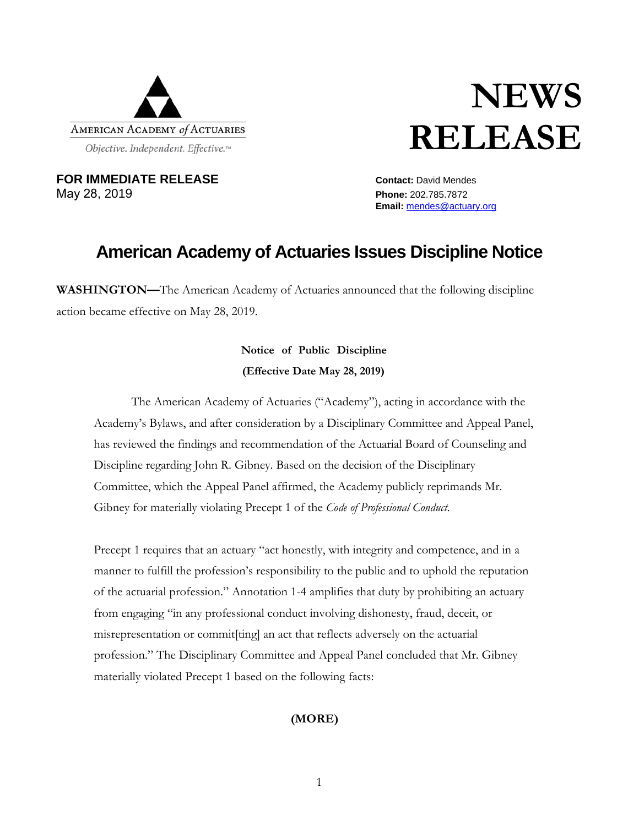

# **NEWS RELEASE**

**FOR IMMEDIATE RELEASE** *Contact: David Mendes* May 28, 2019 **Phone:** 202.785.7872

**Email:** [mendes@actuary.org](mailto:mendes@actuary.org)

## **American Academy of Actuaries Issues Discipline Notice**

**WASHINGTON—**The American Academy of Actuaries announced that the following discipline action became effective on May 28, 2019.

### **Notice of Public Discipline (Effective Date May 28, 2019)**

The American Academy of Actuaries ("Academy"), acting in accordance with the Academy's Bylaws, and after consideration by a Disciplinary Committee and Appeal Panel, has reviewed the findings and recommendation of the Actuarial Board of Counseling and Discipline regarding John R. Gibney. Based on the decision of the Disciplinary Committee, which the Appeal Panel affirmed, the Academy publicly reprimands Mr. Gibney for materially violating Precept 1 of the *Code of Professional Conduct*.

Precept 1 requires that an actuary "act honestly, with integrity and competence, and in a manner to fulfill the profession's responsibility to the public and to uphold the reputation of the actuarial profession." Annotation 1-4 amplifies that duty by prohibiting an actuary from engaging "in any professional conduct involving dishonesty, fraud, deceit, or misrepresentation or commit[ting] an act that reflects adversely on the actuarial profession." The Disciplinary Committee and Appeal Panel concluded that Mr. Gibney materially violated Precept 1 based on the following facts:

#### **(MORE)**

1